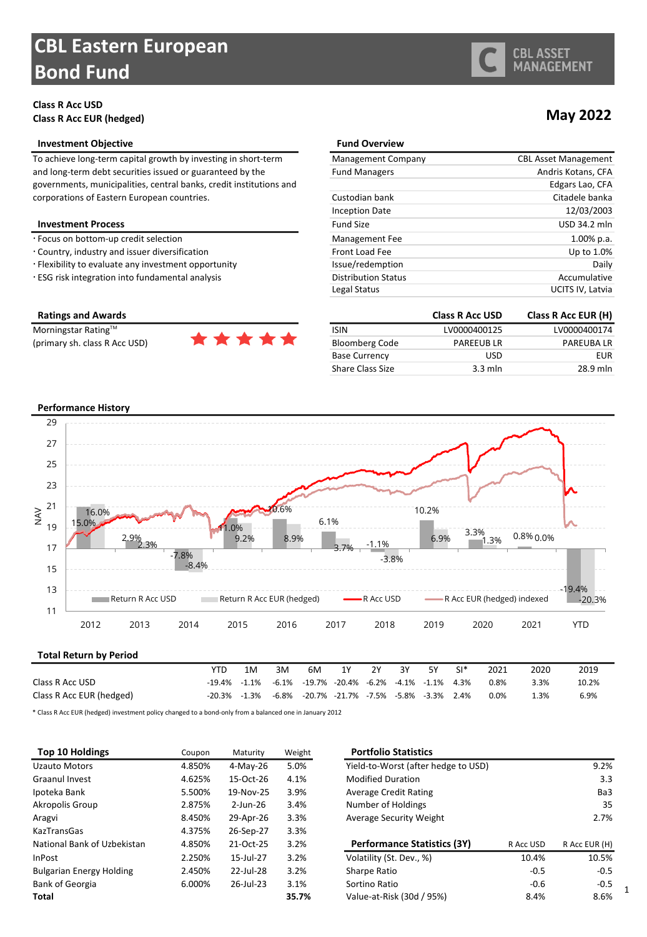# **CBL Eastern European Bond Fund**

### **Class R Acc USD Class R Acc EUR (hedged)**

#### **Investment Objective**

To achieve long-term capital growth by investing in short-term and long-term debt securities issued or guaranteed by the governments, municipalities, central banks, credit institutions and corporations of Eastern European countries.

#### **Investment Process**

- $\cdot$  Focus on bottom-up credit selection
- Country, industry and issuer diversification
- · Flexibility to evaluate any investment opportunity
- · ESG risk integration into fundamental analysis

### **Ratings and Awards**

(primary sh. class R Acc USD)



| <b>Fund Overview</b>       |                             |
|----------------------------|-----------------------------|
| Management Company         | <b>CBL Asset Management</b> |
| <b>Fund Managers</b>       | Andris Kotans, CFA          |
|                            | Edgars Lao, CFA             |
| Custodian bank             | Citadele banka              |
| <b>Inception Date</b>      | 12/03/2003                  |
| <b>Fund Size</b>           | USD 34.2 mln                |
| Management Fee             | $1.00\%$ p.a.               |
| Front Load Fee             | Up to 1.0%                  |
| Issue/redemption           | Daily                       |
| <b>Distribution Status</b> | Accumulative                |
| Legal Status               | UCITS IV, Latvia            |

|                         | <b>Class R Acc USD</b> | Class R Acc EUR (H) |
|-------------------------|------------------------|---------------------|
| <b>ISIN</b>             | LV0000400125           | LV0000400174        |
| <b>Bloomberg Code</b>   | <b>PAREEUBLR</b>       | <b>PAREUBALR</b>    |
| <b>Base Currency</b>    | <b>USD</b>             | EUR                 |
| <b>Share Class Size</b> | $3.3$ mln              | 28.9 mln            |

#### **Performance History**



\* Class R Acc EUR (hedged) investment policy changed to a bond-only from a balanced one in January 2012

| Top 10 Holdings                 | Coupon | Maturity     | Weight | <b>Portfolio Statistics</b>         |           |               |
|---------------------------------|--------|--------------|--------|-------------------------------------|-----------|---------------|
| Uzauto Motors                   | 4.850% | 4-May-26     | 5.0%   | Yield-to-Worst (after hedge to USD) |           | 9.2%          |
| Graanul Invest                  | 4.625% | 15-Oct-26    | 4.1%   | <b>Modified Duration</b>            |           | 3.3           |
| Ipoteka Bank                    | 5.500% | 19-Nov-25    | 3.9%   | <b>Average Credit Rating</b>        |           | Ba3           |
| Akropolis Group                 | 2.875% | 2-Jun-26     | 3.4%   | Number of Holdings                  |           | 35            |
| Aragvi                          | 8.450% | 29-Apr-26    | 3.3%   | Average Security Weight             |           | 2.7%          |
| <b>KazTransGas</b>              | 4.375% | 26-Sep-27    | 3.3%   |                                     |           |               |
| National Bank of Uzbekistan     | 4.850% | 21-Oct-25    | 3.2%   | Performance Statistics (3Y)         | R Acc USD | R Acc EUR (H) |
| <b>InPost</b>                   | 2.250% | 15-Jul-27    | 3.2%   | Volatility (St. Dev., %)            | 10.4%     | 10.5%         |
| <b>Bulgarian Energy Holding</b> | 2.450% | 22-Jul-28    | 3.2%   | Sharpe Ratio                        | $-0.5$    | $-0.5$        |
| <b>Bank of Georgia</b>          | 6.000% | $26$ -Jul-23 | 3.1%   | Sortino Ratio                       | $-0.6$    | $-0.5$        |
| Total                           |        |              | 35.7%  | Value-at-Risk (30d / 95%)           | 8.4%      | 8.6%          |

## **May 2022**

1